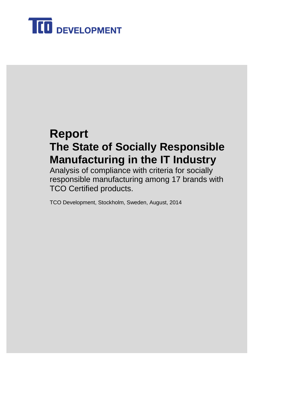

# **Report The State of Socially Responsible Manufacturing in the IT Industry**

Analysis of compliance with criteria for socially responsible manufacturing among 17 brands with TCO Certified products.

TCO Development, Stockholm, Sweden, August, 2014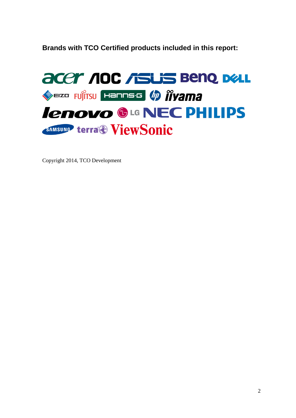<span id="page-1-0"></span>**Brands with TCO Certified products included in this report:**



Copyright 2014, TCO Development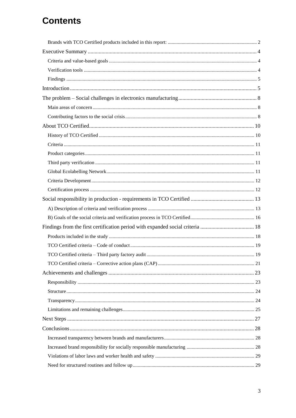## **Contents**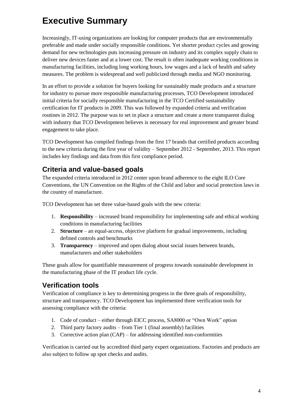## <span id="page-3-0"></span>**Executive Summary**

Increasingly, IT-using organizations are looking for computer products that are environmentally preferable and made under socially responsible conditions. Yet shorter product cycles and growing demand for new technologies puts increasing pressure on industry and its complex supply chain to deliver new devices faster and at a lower cost. The result is often inadequate working conditions in manufacturing facilities, including long working hours, low wages and a lack of health and safety measures. The problem is widespread and well publicized through media and NGO monitoring.

In an effort to provide a solution for buyers looking for sustainably made products and a structure for industry to pursue more responsible manufacturing processes, TCO Development introduced initial criteria for socially responsible manufacturing in the TCO Certified sustainability certification for IT products in 2009. This was followed by expanded criteria and verification routines in 2012. The purpose was to set in place a structure and create a more transparent dialog with industry that TCO Development believes is necessary for real improvement and greater brand engagement to take place.

TCO Development has compiled findings from the first 17 brands that certified products according to the new criteria during the first year of validity – September 2012 - September, 2013. This report includes key findings and data from this first compliance period.

## <span id="page-3-1"></span>**Criteria and value-based goals**

The expanded criteria introduced in 2012 center upon brand adherence to the eight ILO Core Conventions, the UN Convention on the Rights of the Child and labor and social protection laws in the country of manufacture.

TCO Development has set three value-based goals with the new criteria:

- 1. **Responsibility** increased brand responsibility for implementing safe and ethical working conditions in manufacturing facilities
- 2. **Structure** an equal-access, objective platform for gradual improvements, including defined controls and benchmarks
- 3. **Transparency** improved and open dialog about social issues between brands, manufacturers and other stakeholders

These goals allow for quantifiable measurement of progress towards sustainable development in the manufacturing phase of the IT product life cycle.

## <span id="page-3-2"></span>**Verification tools**

Verification of compliance is key to determining progress in the three goals of responsibility, structure and transparency. TCO Development has implemented three verification tools for assessing compliance with the criteria:

- 1. Code of conduct either through EICC process, SA8000 or "Own Work" option
- 2. Third party factory audits from Tier 1 (final assembly) facilities
- 3. Corrective action plan (CAP) for addressing identified non-conformities

Verification is carried out by accredited third party expert organizations. Factories and products are also subject to follow up spot checks and audits.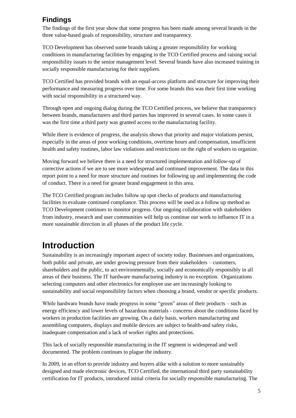## <span id="page-4-0"></span>**Findings**

The findings of the first year show that some progress has been made among several brands in the three value-based goals of responsibility, structure and transparency.

TCO Development has observed some brands taking a greater responsibility for working conditions in manufacturing facilities by engaging in the TCO Certified process and raising social responsibility issues to the senior management level. Several brands have also increased training in socially responsible manufacturing for their suppliers.

TCO Certified has provided brands with an equal-access platform and structure for improving their performance and measuring progress over time. For some brands this was their first time working with social responsibility in a structured way.

Through open and ongoing dialog during the TCO Certified process, we believe that transparency between brands, manufacturers and third parties has improved in several cases. In some cases it was the first time a third party was granted access to the manufacturing facility.

While there is evidence of progress, the analysis shows that priority and major violations persist, especially in the areas of poor working conditions, overtime hours and compensation, insufficient health and safety routines, labor law violations and restrictions on the right of workers to organize.

Moving forward we believe there is a need for structured implementation and follow-up of corrective actions if we are to see more widespread and continued improvement. The data in this report point to a need for more structure and routines for following up and implementing the code of conduct. There is a need for greater brand engagement in this area.

The TCO Certified program includes follow up spot checks of products and manufacturing facilities to evaluate continued compliance. This process will be used as a follow up method as TCO Development continues to monitor progress. Our ongoing collaboration with stakeholders from industry, research and user communities will help us continue our work to influence IT in a more sustainable direction in all phases of the product life cycle.

# <span id="page-4-1"></span>**Introduction**

Sustainability is an increasingly important aspect of society today. Businesses and organizations, both public and private, are under growing pressure from their stakeholders – customers, shareholders and the public, to act environmentally, socially and economically responsibly in all areas of their business. The IT hardware manufacturing industry is no exception. Organizations selecting computers and other electronics for employee use are increasingly looking to sustainability and social responsibility factors when choosing a brand, vendor or specific products.

While hardware brands have made progress in some "green" areas of their products – such as energy efficiency and lower levels of hazardous materials - concerns about the conditions faced by workers in production facilities are growing. On a daily basis, workers manufacturing and assembling computers, displays and mobile devices are subject to health-and safety risks, inadequate compensation and a lack of worker rights and protections.

This lack of socially responsible manufacturing in the IT segment is widespread and well documented. The problem continues to plague the industry.

In 2009, in an effort to provide industry and buyers alike with a solution to more sustainably designed and made electronic devices, TCO Certified, the international third party sustainability certification for IT products, introduced initial criteria for socially responsible manufacturing. The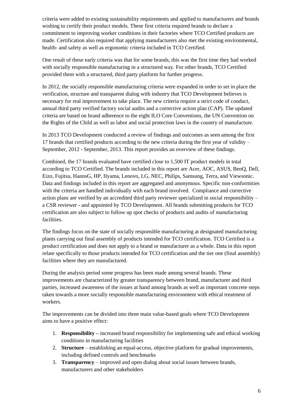criteria were added to existing sustainability requirements and applied to manufacturers and brands wishing to certify their product models. These first criteria required brands to declare a commitment to improving worker conditions in their factories where TCO Certified products are made. Certification also required that applying manufacturers also met the existing environmental, health- and safety as well as ergonomic criteria included in TCO Certified.

One result of these early criteria was that for some brands, this was the first time they had worked with socially responsible manufacturing in a structured way. For other brands, TCO Certified provided them with a structured, third party platform for further progress.

In 2012, the socially responsible manufacturing criteria were expanded in order to set in place the verification, structure and transparent dialog with industry that TCO Development believes is necessary for real improvement to take place. The new criteria require a strict code of conduct, annual third party verified factory social audits and a corrective action plan (CAP). The updated criteria are based on brand adherence to the eight ILO Core Conventions, the UN Convention on the Rights of the Child as well as labor and social protection laws in the country of manufacture.

In 2013 TCO Development conducted a review of findings and outcomes as seen among the first 17 brands that certified products according to the new criteria during the first year of validity – September, 2012 - September, 2013. This report provides an overview of these findings.

Combined, the 17 brands evaluated have certified close to 1,500 IT product models in total according to TCO Certified. The brands included in this report are Acer, AOC, ASUS, BenQ, Dell, Eizo, Fujitsu, HannsG, HP, IIyama, Lenovo, LG, NEC, Philips, Samsung, Terra, and Viewsonic. Data and findings included in this report are aggregated and anonymous. Specific non-conformities with the criteria are handled individually with each brand involved. Compliance and corrective action plans are verified by an accredited third party reviewer specialized in social responsibility – a CSR reviewer - and appointed by TCO Development. All brands submitting products for TCO certification are also subject to follow up spot checks of products and audits of manufacturing facilities.

The findings focus on the state of socially responsible manufacturing at designated manufacturing plants carrying out final assembly of products intended for TCO certification. TCO Certified is a product certification and does not apply to a brand or manufacturer as a whole. Data in this report relate specifically to those products intended for TCO certification and the tier one (final assembly) facilities where they are manufactured.

During the analysis period some progress has been made among several brands. These improvements are characterized by greater transparency between brand, manufacturer and third parties, increased awareness of the issues at hand among brands as well as important concrete steps taken towards a more socially responsible manufacturing environment with ethical treatment of workers.

The improvements can be divided into three main value-based goals where TCO Development aims to have a positive effect:

- 1. **Responsibility** *–* increased brand responsibility for implementing safe and ethical working conditions in manufacturing facilities
- 2. **Structure** establishing an equal-access, objective platform for gradual improvements, including defined controls and benchmarks
- 3. **Transparency** improved and open dialog about social issues between brands, manufacturers and other stakeholders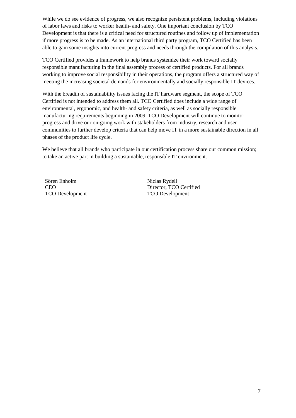While we do see evidence of progress, we also recognize persistent problems, including violations of labor laws and risks to worker health- and safety. One important conclusion by TCO Development is that there is a critical need for structured routines and follow up of implementation if more progress is to be made. As an international third party program, TCO Certified has been able to gain some insights into current progress and needs through the compilation of this analysis.

TCO Certified provides a framework to help brands systemize their work toward socially responsible manufacturing in the final assembly process of certified products. For all brands working to improve social responsibility in their operations, the program offers a structured way of meeting the increasing societal demands for environmentally and socially responsible IT devices.

With the breadth of sustainability issues facing the IT hardware segment, the scope of TCO Certified is not intended to address them all. TCO Certified does include a wide range of environmental, ergonomic, and health- and safety criteria, as well as socially responsible manufacturing requirements beginning in 2009. TCO Development will continue to monitor progress and drive our on-going work with stakeholders from industry, research and user communities to further develop criteria that can help move IT in a more sustainable direction in all phases of the product life cycle.

We believe that all brands who participate in our certification process share our common mission; to take an active part in building a sustainable, responsible IT environment.

Sören Enholm CEO TCO Development Niclas Rydell Director, TCO Certified TCO Development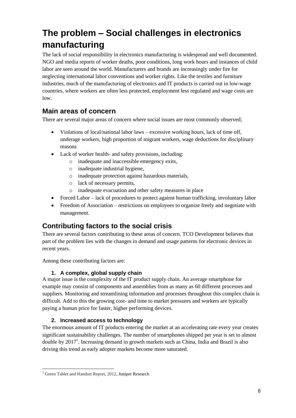# <span id="page-7-0"></span>**The problem – Social challenges in electronics manufacturing**

The lack of social responsibility in electronics manufacturing is widespread and well documented. NGO and media reports of worker deaths, poor conditions, long work hours and instances of child labor are seen around the world. Manufacturers and brands are increasingly under fire for neglecting international labor conventions and worker rights. Like the textiles and furniture industries, much of the manufacturing of electronics and IT products is carried out in low-wage countries, where workers are often less protected, employment less regulated and wage costs are low.

## <span id="page-7-1"></span>**Main areas of concern**

There are several major areas of concern where social issues are most commonly observed;

- Violations of local/national labor laws excessive working hours, lack of time off, underage workers, high proportion of migrant workers, wage deductions for disciplinary reasons
- Lack of worker health- and safety provisions, including:
	- o inadequate and inaccessible emergency exits,
	- o inadequate industrial hygiene,
	- o inadequate protection against hazardous materials,
	- o lack of necessary permits,
	- o inadequate evacuation and other safety measures in place
- Forced Labor lack of procedures to protect against human trafficking, involuntary labor
- Freedom of Association restrictions on employees to organize freely and negotiate with management.

## <span id="page-7-2"></span>**Contributing factors to the social crisis**

There are several factors contributing to these areas of concern. TCO Development believes that part of the problem lies with the changes in demand and usage patterns for electronic devices in recent years.

Among these contributing factors are:

#### **1. A complex, global supply chain**

A major issue is the complexity of the IT product supply chain. An average smartphone for example may consist of components and assemblies from as many as 60 different processes and suppliers. Monitoring and streamlining information and processes throughout this complex chain is difficult. Add to this the growing cost- and time to market pressures and workers are typically paying a human price for faster, higher performing devices.

#### **2. Increased access to technology**

The enormous amount of IT products entering the market at an accelerating rate every year creates significant sustainability challenges. The number of smartphones shipped per year is set to almost double by  $2017<sup>1</sup>$ . Increasing demand in growth markets such as China, India and Brazil is also driving this trend as early adopter markets become more saturated.

-

<sup>&</sup>lt;sup>1</sup> Green Tablet and Handset Report, 2012[, Juniper Research](http://www.siliconrepublic.com/clean-tech/item/27991-smartphone-industry-could-s/)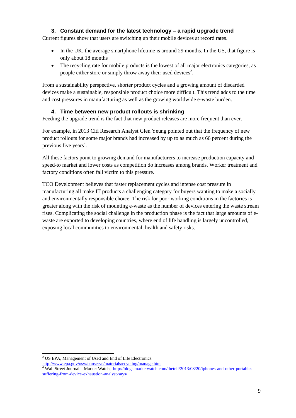#### **3. Constant demand for the latest technology – a rapid upgrade trend**

Current figures show that users are switching up their mobile devices at record rates.

- In the UK, the average smartphone lifetime is around 29 months. In the US, that figure is only about 18 months
- The recycling rate for mobile products is the lowest of all major electronics categories, as people either store or simply throw away their used devices<sup>2</sup>.

From a sustainability perspective, shorter product cycles and a growing amount of discarded devices make a sustainable, responsible product choice more difficult. This trend adds to the time and cost pressures in manufacturing as well as the growing worldwide e-waste burden.

#### **4. Time between new product rollouts is shrinking**

Feeding the upgrade trend is the fact that new product releases are more frequent than ever.

For example, in 2013 Citi Research Analyst Glen Yeung pointed out that the frequency of new product rollouts for some major brands had increased by up to as much as 66 percent during the previous five years<sup>4</sup>.

All these factors point to growing demand for manufacturers to increase production capacity and speed-to market and lower costs as competition do increases among brands. Worker treatment and factory conditions often fall victim to this pressure.

TCO Development believes that faster replacement cycles and intense cost pressure in manufacturing all make IT products a challenging category for buyers wanting to make a socially and environmentally responsible choice. The risk for poor working conditions in the factories is greater along with the risk of mounting e-waste as the number of devices entering the waste stream rises. Complicating the social challenge in the production phase is the fact that large amounts of ewaste are exported to developing countries, where end of life handling is largely uncontrolled, exposing local communities to environmental, health and safety risks.

<sup>1</sup> <sup>2</sup> US EPA, Management of Used and End of Life Electronics.

<http://www.epa.gov/osw/conserve/materials/ecycling/manage.htm>

<sup>&</sup>lt;sup>4</sup> Wall Street Journal – Market Watch, [http://blogs.marketwatch.com/thetell/2013/08/20/iphones-and-other-portables](http://blogs.marketwatch.com/thetell/2013/08/20/iphones-and-other-portables-suffering-from-device-exhaustion-analyst-says/)[suffering-from-device-exhaustion-analyst-says/](http://blogs.marketwatch.com/thetell/2013/08/20/iphones-and-other-portables-suffering-from-device-exhaustion-analyst-says/)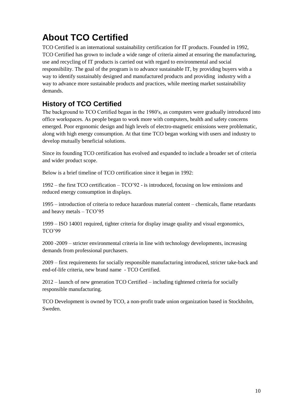# <span id="page-9-0"></span>**About TCO Certified**

TCO Certified is an international sustainability certification for IT products. Founded in 1992, TCO Certified has grown to include a wide range of criteria aimed at ensuring the manufacturing, use and recycling of IT products is carried out with regard to environmental and social responsibility. The goal of the program is to advance sustainable IT, by providing buyers with a way to identify sustainably designed and manufactured products and providing industry with a way to advance more sustainable products and practices, while meeting market sustainability demands.

## <span id="page-9-1"></span>**History of TCO Certified**

The background to TCO Certified began in the 1980′s, as computers were gradually introduced into office workspaces. As people began to work more with computers, health and safety concerns emerged. Poor ergonomic design and high levels of electro-magnetic emissions were problematic, along with high energy consumption. At that time TCO began working with users and industry to develop mutually beneficial solutions.

Since its founding TCO certification has evolved and expanded to include a broader set of criteria and wider product scope.

Below is a brief timeline of TCO certification since it began in 1992:

1992 – the first TCO certification – TCO'92 - is introduced, focusing on low emissions and reduced energy consumption in displays.

1995 – introduction of criteria to reduce hazardous material content – chemicals, flame retardants and heavy metals – TCO'95

1999 – ISO 14001 required, tighter criteria for display image quality and visual ergonomics, TCO'99

2000 -2009 – stricter environmental criteria in line with technology developments, increasing demands from professional purchasers.

2009 – first requirements for socially responsible manufacturing introduced, stricter take-back and end-of-life criteria, new brand name - TCO Certified.

2012 – launch of new generation TCO Certified – including tightened criteria for socially responsible manufacturing.

<span id="page-9-2"></span>TCO Development is owned by TCO, a non-profit trade union organization based in Stockholm, Sweden.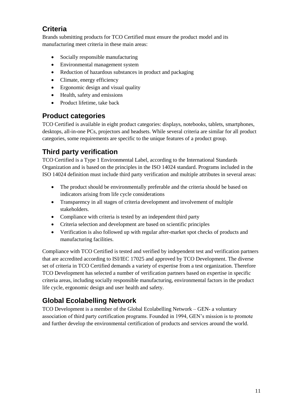## **Criteria**

Brands submitting products for TCO Certified must ensure the product model and its manufacturing meet criteria in these main areas:

- Socially responsible manufacturing
- Environmental management system
- Reduction of hazardous substances in product and packaging
- Climate, energy efficiency
- Ergonomic design and visual quality
- Health, safety and emissions
- Product lifetime, take back

## <span id="page-10-0"></span>**Product categories**

TCO Certified is available in eight product categories: displays, notebooks, tablets, smartphones, desktops, all-in-one PCs, projectors and headsets. While several criteria are similar for all product categories, some requirements are specific to the unique features of a product group.

## <span id="page-10-1"></span>**Third party verification**

TCO Certified is a Type 1 Environmental Label, according to the International Standards Organization and is based on the principles in the ISO 14024 standard. Programs included in the ISO 14024 definition must include third party verification and multiple attributes in several areas:

- The product should be environmentally preferable and the criteria should be based on indicators arising from life cycle considerations
- Transparency in all stages of criteria development and involvement of multiple stakeholders.
- Compliance with criteria is tested by an independent third party
- Criteria selection and development are based on scientific principles
- Verification is also followed up with regular after-market spot checks of products and manufacturing facilities.

Compliance with TCO Certified is tested and verified by independent test and verification partners that are accredited according to ISI/IEC 17025 and approved by TCO Development. The diverse set of criteria in TCO Certified demands a variety of expertise from a test organization. Therefore TCO Development has selected a number of verification partners based on expertise in specific criteria areas, including socially responsible manufacturing, environmental factors in the product life cycle, ergonomic design and user health and safety.

## <span id="page-10-2"></span>**Global Ecolabelling Network**

TCO Development is a member of the Global Ecolabelling Network – GEN- a voluntary association of third party certification programs. Founded in 1994, GEN's mission is to promote and further develop the environmental certification of products and services around the world.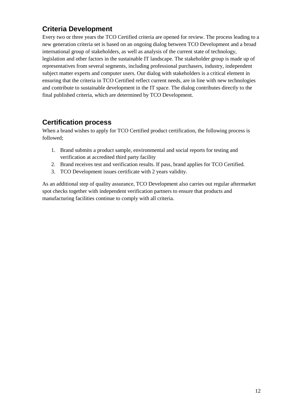## <span id="page-11-0"></span>**Criteria Development**

Every two or three years the [TCO Certified criteria a](http://tcodevelopment.com/tco-certified/our-process/)re opened for review. The process leading to a new generation criteria set is based on an ongoing dialog between TCO Development and a broad international group of stakeholders, as well as analysis of the current state of technology, legislation and other factors in the sustainable IT landscape. The stakeholder group is made up of representatives from several segments, including professional purchasers, industry, independent subject matter experts and computer users. Our dialog with stakeholders is a critical element in ensuring that the criteria in TCO Certified reflect current needs, are in line with new technologies and contribute to sustainable development in the IT space. The dialog contributes directly to the final published criteria, which are determined by TCO Development.

## <span id="page-11-1"></span>**Certification process**

When a brand wishes to apply for TCO Certified product certification, the following process is followed;

- 1. Brand submits a product sample, environmental and social reports for testing and verification at accredited third party facility
- 2. Brand receives test and verification results. If pass, brand applies for TCO Certified.
- 3. TCO Development issues certificate with 2 years validity.

As an additional step of quality assurance, TCO Development also carries out regular aftermarket spot checks together with independent verification partners to ensure that products and manufacturing facilities continue to comply with all criteria.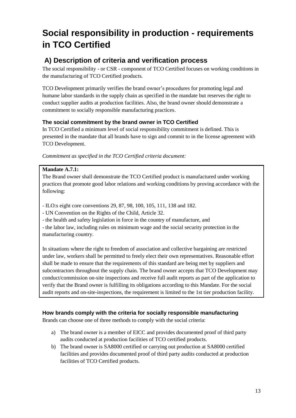# <span id="page-12-0"></span>**Social responsibility in production - requirements in TCO Certified**

## <span id="page-12-1"></span>**A) Description of criteria and verification process**

The social responsibility - or CSR - component of TCO Certified focuses on working conditions in the manufacturing of TCO Certified products.

TCO Development primarily verifies the brand owner's procedures for promoting legal and humane labor standards in the supply chain as specified in the mandate but reserves the right to conduct supplier audits at production facilities. Also, the brand owner should demonstrate a commitment to socially responsible manufacturing practices.

### **The social commitment by the brand owner in TCO Certified**

In TCO Certified a minimum level of social responsibility commitment is defined. This is presented in the mandate that all brands have to sign and commit to in the license agreement with TCO Development.

*Commitment as specified in the TCO Certified criteria document:*

### **Mandate A.7.1:**

The Brand owner shall demonstrate the TCO Certified product is manufactured under working practices that promote good labor relations and working conditions by proving accordance with the following:

- ILO:s eight core conventions 29, 87, 98, 100, 105, 111, 138 and 182.

- UN Convention on the Rights of the Child, Article 32.

- the health and safety legislation in force in the country of manufacture, and

- the labor law, including rules on minimum wage and the social security protection in the manufacturing country.

In situations where the right to freedom of association and collective bargaining are restricted under law, workers shall be permitted to freely elect their own representatives. Reasonable effort shall be made to ensure that the requirements of this standard are being met by suppliers and subcontractors throughout the supply chain. The brand owner accepts that TCO Development may conduct/commission on-site inspections and receive full audit reports as part of the application to verify that the Brand owner is fulfilling its obligations according to this Mandate. For the social audit reports and on-site-inspections, the requirement is limited to the 1st tier production facility.

### **How brands comply with the criteria for socially responsible manufacturing**

Brands can choose one of three methods to comply with the social criteria:

- a) The brand owner is a member of EICC and provides documented proof of third party audits conducted at production facilities of TCO certified products.
- b) The brand owner is SA8000 certified or carrying out production at SA8000 certified facilities and provides documented proof of third party audits conducted at production facilities of TCO Certified products.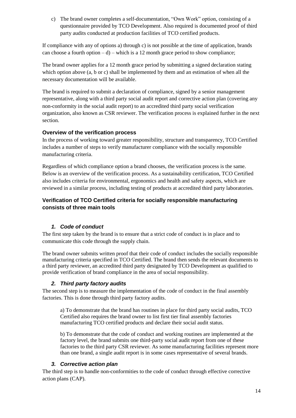c) The brand owner completes a self-documentation, "Own Work" option, consisting of a questionnaire provided by TCO Development. Also required is documented proof of third party audits conducted at production facilities of TCO certified products.

If compliance with any of options a) through c) is not possible at the time of application, brands can choose a fourth option  $-d$ ) – which is a 12 month grace period to show compliance;

The brand owner applies for a 12 month grace period by submitting a signed declaration stating which option above (a, b or c) shall be implemented by them and an estimation of when all the necessary documentation will be available.

The brand is required to submit a declaration of compliance, signed by a senior management representative, along with a third party social audit report and corrective action plan (covering any non-conformity in the social audit report) to an accredited third party social verification organization, also known as CSR reviewer. The verification process is explained further in the next section.

#### **Overview of the verification process**

In the process of working toward greater responsibility, structure and transparency, TCO Certified includes a number of steps to verify manufacturer compliance with the socially responsible manufacturing criteria.

Regardless of which compliance option a brand chooses, the verification process is the same. Below is an overview of the verification process. As a sustainability certification, TCO Certified also includes criteria for environmental, ergonomics and health and safety aspects, which are reviewed in a similar process, including testing of products at accredited third party laboratories.

#### **Verification of TCO Certified criteria for socially responsible manufacturing consists of three main tools**

#### *1. Code of conduct*

The first step taken by the brand is to ensure that a strict code of conduct is in place and to communicate this code through the supply chain.

The brand owner submits written proof that their code of conduct includes the socially responsible manufacturing criteria specified in TCO Certified. The brand then sends the relevant documents to a third party reviewer, an accredited third party designated by TCO Development as qualified to provide verification of brand compliance in the area of social responsibility.

#### *2. Third party factory audits*

The second step is to measure the implementation of the code of conduct in the final assembly factories. This is done through third party factory audits.

a) To demonstrate that the brand has routines in place for third party social audits, TCO Certified also requires the brand owner to list first tier final assembly factories manufacturing TCO certified products and declare their social audit status.

b) To demonstrate that the code of conduct and working routines are implemented at the factory level, the brand submits one third-party social audit report from one of these factories to the third party CSR reviewer. As some manufacturing facilities represent more than one brand, a single audit report is in some cases representative of several brands.

#### *3. Corrective action plan*

The third step is to handle non-conformities to the code of conduct through effective corrective action plans (CAP).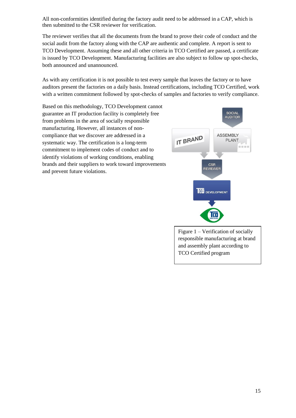All non-conformities identified during the factory audit need to be addressed in a CAP, which is then submitted to the CSR reviewer for verification.

The reviewer verifies that all the documents from the brand to prove their code of conduct and the social audit from the factory along with the CAP are authentic and complete. A report is sent to TCO Development. Assuming these and all other criteria in TCO Certified are passed, a certificate is issued by TCO Development. Manufacturing facilities are also subject to follow up spot-checks, both announced and unannounced.

As with any certification it is not possible to test every sample that leaves the factory or to have auditors present the factories on a daily basis. Instead certifications, including TCO Certified, work with a written commitment followed by spot-checks of samples and factories to verify compliance.

Based on this methodology, TCO Development cannot guarantee an IT production facility is completely free from problems in the area of socially responsible manufacturing. However, all instances of noncompliance that we discover are addressed in a systematic way. The certification is a long-term commitment to implement codes of conduct and to identify violations of working conditions, enabling brands and their suppliers to work toward improvements and prevent future violations.



TCO Certified program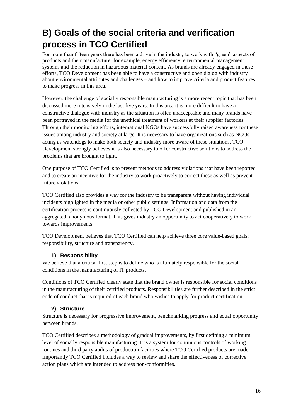# <span id="page-15-0"></span>**B) Goals of the social criteria and verification process in TCO Certified**

For more than fifteen years there has been a drive in the industry to work with "green" aspects of products and their manufacture; for example, energy efficiency, environmental management systems and the reduction in hazardous material content. As brands are already engaged in these efforts, TCO Development has been able to have a constructive and open dialog with industry about environmental attributes and challenges – and how to improve criteria and product features to make progress in this area.

However, the challenge of socially responsible manufacturing is a more recent topic that has been discussed more intensively in the last five years. In this area it is more difficult to have a constructive dialogue with industry as the situation is often unacceptable and many brands have been portrayed in the media for the unethical treatment of workers at their supplier factories. Through their monitoring efforts, international NGOs have successfully raised awareness for these issues among industry and society at large. It is necessary to have organizations such as NGOs acting as watchdogs to make both society and industry more aware of these situations. TCO Development strongly believes it is also necessary to offer constructive solutions to address the problems that are brought to light.

One purpose of TCO Certified is to present methods to address violations that have been reported and to create an incentive for the industry to work proactively to correct these as well as prevent future violations.

TCO Certified also provides a way for the industry to be transparent without having individual incidents highlighted in the media or other public settings. Information and data from the certification process is continuously collected by TCO Development and published in an aggregated, anonymous format. This gives industry an opportunity to act cooperatively to work towards improvements.

TCO Development believes that TCO Certified can help achieve three core value-based goals; responsibility, structure and transparency.

### **1) Responsibility**

We believe that a critical first step is to define who is ultimately responsible for the social conditions in the manufacturing of IT products.

Conditions of TCO Certified clearly state that the brand owner is responsible for social conditions in the manufacturing of their certified products. Responsibilities are further described in the strict code of conduct that is required of each brand who wishes to apply for product certification.

### **2) Structure**

Structure is necessary for progressive improvement, benchmarking progress and equal opportunity between brands.

TCO Certified describes a methodology of gradual improvements, by first defining a minimum level of socially responsible manufacturing. It is a system for continuous controls of working routines and third party audits of production facilities where TCO Certified products are made. Importantly TCO Certified includes a way to review and share the effectiveness of corrective action plans which are intended to address non-conformities.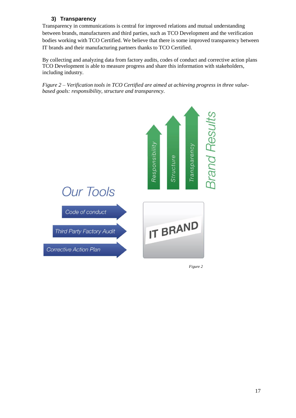### **3) Transparency**

Transparency in communications is central for improved relations and mutual understanding between brands, manufacturers and third parties, such as TCO Development and the verification bodies working with TCO Certified. We believe that there is some improved transparency between IT brands and their manufacturing partners thanks to TCO Certified.

By collecting and analyzing data from factory audits, codes of conduct and corrective action plans TCO Development is able to measure progress and share this information with stakeholders, including industry.

*Figure 2 – Verification tools in TCO Certified are aimed at achieving progress in three valuebased goals: responsibility, structure and transparency.*



*Figure 2*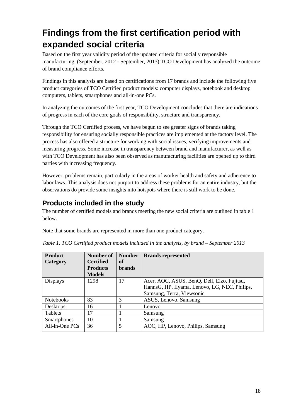# <span id="page-17-0"></span>**Findings from the first certification period with expanded social criteria**

Based on the first year validity period of the updated criteria for socially responsible manufacturing, (September, 2012 - September, 2013) TCO Development has analyzed the outcome of brand compliance efforts.

Findings in this analysis are based on certifications from 17 brands and include the following five product categories of TCO Certified product models: computer displays, notebook and desktop computers, tablets, smartphones and all-in-one PCs.

In analyzing the outcomes of the first year, TCO Development concludes that there are indications of progress in each of the core goals of responsibility, structure and transparency.

Through the TCO Certified process, we have begun to see greater signs of brands taking responsibility for ensuring socially responsible practices are implemented at the factory level. The process has also offered a structure for working with social issues, verifying improvements and measuring progress. Some increase in transparency between brand and manufacturer, as well as with TCO Development has also been observed as manufacturing facilities are opened up to third parties with increasing frequency.

However, problems remain, particularly in the areas of worker health and safety and adherence to labor laws. This analysis does not purport to address these problems for an entire industry, but the observations do provide some insights into hotspots where there is still work to be done.

## <span id="page-17-1"></span>**Products included in the study**

The number of certified models and brands meeting the new social criteria are outlined in table 1 below.

Note that some brands are represented in more than one product category.

| <b>Product</b>   | Number of        | <b>Number</b> | <b>Brands represented</b>                     |
|------------------|------------------|---------------|-----------------------------------------------|
| Category         | <b>Certified</b> | оf            |                                               |
|                  | <b>Products</b>  | <b>brands</b> |                                               |
|                  | <b>Models</b>    |               |                                               |
| <b>Displays</b>  | 1298             | 17            | Acer, AOC, ASUS, BenQ, Dell, Eizo, Fujitsu,   |
|                  |                  |               | HannsG, HP, IIyama, Lenovo, LG, NEC, Philips, |
|                  |                  |               | Samsung, Terra, Viewsonic                     |
| <b>Notebooks</b> | 83               | 3             | ASUS, Lenovo, Samsung                         |
| <b>Desktops</b>  | 16               |               | Lenovo                                        |
| <b>Tablets</b>   | 17               |               | Samsung                                       |
| Smartphones      | 10               |               | Samsung                                       |
| $All-in-One PCs$ | 36               | 5             | AOC, HP, Lenovo, Philips, Samsung             |

|  |  | Table 1. TCO Certified product models included in the analysis, by brand – September 2013 |  |  |  |  |  |
|--|--|-------------------------------------------------------------------------------------------|--|--|--|--|--|
|--|--|-------------------------------------------------------------------------------------------|--|--|--|--|--|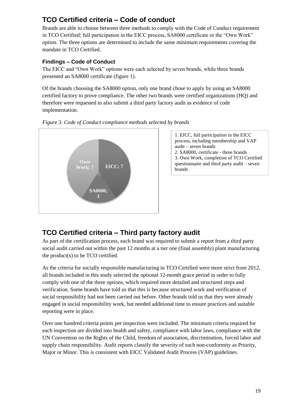## <span id="page-18-0"></span>**TCO Certified criteria – Code of conduct**

Brands are able to choose between three methods to comply with the Code of Conduct requirement in TCO Certified; full participation in the EICC process, SA8000 certificate or the "Own Work" option. The three options are determined to include the same minimum requirements covering the mandate in TCO Certified.

### **Findings – Code of Conduct**

The EICC and "Own Work" options were each selected by seven brands, while three brands presented an SA8000 certificate (figure 1).

Of the brands choosing the SA8000 option, only one brand chose to apply by using an SA8000 certified factory to prove compliance. The other two brands were certified organizations (HQ) and therefore were requested to also submit a third party factory audit as evidence of code implementation.





1. EICC, full participation in the EICC process, including membership and VAP audit – seven brands 2. SA8000, certificate - three brands 3. Own Work, completion of TCO Certified questionnaire and third party audit – seven

## <span id="page-18-1"></span>**TCO Certified criteria – Third party factory audit**

As part of the certification process, each brand was required to submit a report from a third party social audit carried out within the past 12 months at a tier one (final assembly) plant manufacturing the product(s) to be TCO certified.

As the criteria for socially responsible manufacturing in TCO Certified were more strict from 2012, all brands included in this study selected the optional 12-month grace period in order to fully comply with one of the three options, which required more detailed and structured steps and verification. Some brands have told us that this is because structured work and verification of social responsibility had not been carried out before. Other brands told us that they were already engaged in social responsibility work, but needed additional time to ensure practices and suitable reporting were in place.

Over one hundred criteria points per inspection were included. The minimum criteria required for each inspection are divided into health and safety, compliance with labor laws, compliance with the UN Convention on the Rights of the Child, freedom of association, discrimination, forced labor and supply chain responsibility. Audit reports classify the severity of each non-conformity as Priority, Major or Minor. This is consistent with EICC Validated Audit Process (VAP) guidelines.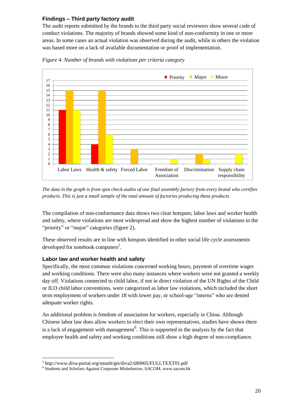#### **Findings – Third party factory audit**

The audit reports submitted by the brands to the third party social reviewers show several code of conduct violations. The majority of brands showed some kind of non-conformity in one or more areas. In some cases an actual violation was observed during the audit, while in others the violation was based more on a lack of available documentation or proof of implementation.



*Figure 4. Number of brands with violations per criteria category*

*The data in the graph is from spot check audits of one final assembly factory from every brand who certifies products. This is just a small sample of the total amount of factories producing these products*.

The compilation of non-conformance data shows two clear hotspots; labor laws and worker health and safety, where violations are most widespread and show the highest number of violations in the "priority" or "major" categories (figure 2).

These observed results are in line with hotspots identified in other social life cycle assessments developed for notebook computers<sup>5</sup>.

#### **Labor law and worker health and safety**

-

Specifically, the most common violations concerned working hours, payment of overtime wages and working conditions. There were also many instances where workers were not granted a weekly day off. Violations connected to child labor, if not in direct violation of the UN Rights of the Child or ILO child labor conventions, were categorized as labor law violations, which included the short term employment of workers under 18 with lower pay, or school-age "interns" who are denied adequate worker rights.

An additional problem is freedom of association for workers, especially in China. Although Chinese labor law does allow workers to elect their own representatives, studies have shown there is a lack of engagement with management<sup>6</sup>. This is supported in the analysis by the fact that employee health and safety and working conditions still show a high degree of non-compliance.

<sup>5</sup> http://www.diva-portal.org/smash/get/diva2:680005/FULLTEXT01.pdf

<sup>&</sup>lt;sup>6</sup> [Students and Scholars Against Corporate Misbehavior,](http://www.sacom.hk/) SACOM, www.sacom.hk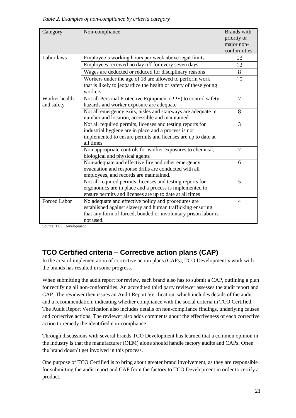*Table 2. Examples of non-compliance by criteria category*

|                     |                                                                  | <b>Brands</b> with |  |  |  |
|---------------------|------------------------------------------------------------------|--------------------|--|--|--|
| Category            | Non-compliance                                                   |                    |  |  |  |
|                     |                                                                  | priority or        |  |  |  |
|                     |                                                                  | major non-         |  |  |  |
|                     |                                                                  | conformities       |  |  |  |
| Labor laws          | Employee's working hours per week above legal limits             | 13                 |  |  |  |
|                     | Employees received no day off for every seven days               | 12                 |  |  |  |
|                     | Wages are deducted or reduced for disciplinary reasons           | 8                  |  |  |  |
|                     | Workers under the age of 18 are allowed to perform work          | 10                 |  |  |  |
|                     | that is likely to jeopardize the health or safety of these young |                    |  |  |  |
|                     | workers                                                          |                    |  |  |  |
| Worker health-      | Not all Personal Protective Equipment (PPE) to control safety    | $\overline{7}$     |  |  |  |
| and safety          | hazards and worker exposure are adequate                         |                    |  |  |  |
|                     | Not all emergency exits, aisles and stairways are adequate in    | 8                  |  |  |  |
|                     | number and location, accessible and maintained                   |                    |  |  |  |
|                     | Not all required permits, licenses and testing reports for       | 3                  |  |  |  |
|                     | industrial hygiene are in place and a process is not             |                    |  |  |  |
|                     | implemented to ensure permits and licenses are up to date at     |                    |  |  |  |
|                     | all times                                                        |                    |  |  |  |
|                     | Non appropriate controls for worker exposures to chemical,       | $\overline{7}$     |  |  |  |
|                     | biological and physical agents                                   |                    |  |  |  |
|                     | Non-adequate and effective fire and other emergency              |                    |  |  |  |
|                     | evacuation and response drills are conducted with all            |                    |  |  |  |
|                     | employees, and records are maintained.                           |                    |  |  |  |
|                     | Not all required permits, licenses and testing reports for       | 5                  |  |  |  |
|                     | ergonomics are in place and a process is implemented to          |                    |  |  |  |
|                     | ensure permits and licenses are up to date at all times          |                    |  |  |  |
| <b>Forced Labor</b> | No adequate and effective policy and procedures are              | $\overline{4}$     |  |  |  |
|                     | established against slavery and human trafficking ensuring       |                    |  |  |  |
|                     | that any form of forced, bonded or involuntary prison labor is   |                    |  |  |  |
|                     | not used.                                                        |                    |  |  |  |

Source: TCO Development

## <span id="page-20-0"></span>**TCO Certified criteria – Corrective action plans (CAP)**

In the area of implementation of corrective action plans (CAPs), TCO Development's work with the brands has resulted in some progress.

When submitting the audit report for review, each brand also has to submit a CAP, outlining a plan for rectifying all non-conformities. An accredited third party reviewer assesses the audit report and CAP. The reviewer then issues an Audit Report Verification, which includes details of the audit and a recommendation, indicating whether compliance with the social criteria in TCO Certified. The Audit Report Verification also includes details on non-compliance findings, underlying causes and corrective actions. The reviewer also adds comments about the effectiveness of each corrective action to remedy the identified non-compliance.

Through discussions with several brands TCO Development has learned that a common opinion in the industry is that the manufacturer (OEM) alone should handle factory audits and CAPs. Often the brand doesn't get involved in this process.

One purpose of TCO Certified is to bring about greater brand involvement, as they are responsible for submitting the audit report and CAP from the factory to TCO Development in order to certify a product.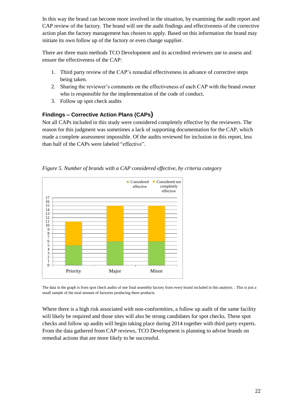In this way the brand can become more involved in the situation, by examining the audit report and CAP review of the factory. The brand will see the audit findings and effectiveness of the corrective action plan the factory management has chosen to apply. Based on this information the brand may initiate its own follow up of the factory or even change supplier.

There are three main methods TCO Development and its accredited reviewers use to assess and ensure the effectiveness of the CAP:

- 1. Third party review of the CAP's remedial effectiveness in advance of corrective steps being taken.
- 2. Sharing the reviewer's comments on the effectiveness of each CAP with the brand owner who is responsible for the implementation of the code of conduct.
- 3. Follow up spot check audits

### **Findings – Corrective Action Plans (CAPs)**

Not all CAPs included in this study were considered completely effective by the reviewers. The reason for this judgment was sometimes a lack of supporting documentation for the CAP, which made a complete assessment impossible. Of the audits reviewed for inclusion in this report, less than half of the CAPs were labeled "effective".



*Figure 5. Number of brands with a CAP considered effective, by criteria category*

The data in the graph is from spot check audits of one final assembly factory from every brand included in this analysis. . This is just a small sample of the total amount of factories producing these products.

Where there is a high risk associated with non-conformities, a follow up audit of the same facility will likely be required and those sites will also be strong candidates for spot checks. These spot checks and follow up audits will begin taking place during 2014 together with third party experts. From the data gathered from CAP reviews, TCO Development is planning to advise brands on remedial actions that are more likely to be successful.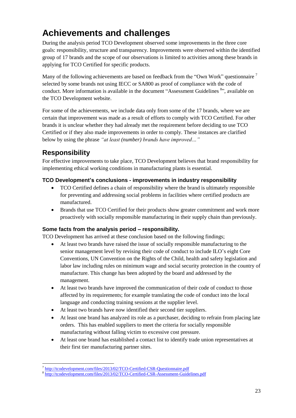# <span id="page-22-0"></span>**Achievements and challenges**

During the analysis period TCO Development observed some improvements in the three core goals: responsibility, structure and transparency. Improvements were observed within the identified group of 17 brands and the scope of our observations is limited to activities among these brands in applying for TCO Certified for specific products.

Many of the following achievements are based on feedback from the "Own Work" questionnaire  $^7$ selected by some brands not using IECC or SA800 as proof of compliance with the code of conduct. More information is available in the document "Assessment Guidelines<sup>8</sup>", available on the TCO Development website.

For some of the achievements, we include data only from some of the 17 brands, where we are certain that improvement was made as a result of efforts to comply with TCO Certified. For other brands it is unclear whether they had already met the requirement before deciding to use TCO Certified or if they also made improvements in order to comply. These instances are clarified below by using the phrase *"at least (number) brands have improved…"*

## <span id="page-22-1"></span>**Responsibility**

1

For effective improvements to take place, TCO Development believes that brand responsibility for implementing ethical working conditions in manufacturing plants is essential.

### **TCO Development's conclusions - improvements in industry responsibility**

- TCO Certified defines a chain of responsibility where the brand is ultimately responsible for preventing and addressing social problems in facilities where certified products are manufactured.
- Brands that use TCO Certified for their products show greater commitment and work more proactively with socially responsible manufacturing in their supply chain than previously.

#### **Some facts from the analysis period – responsibility.**

TCO Development has arrived at these conclusion based on the following findings;

- At least two brands have raised the issue of socially responsible manufacturing to the senior management level by revising their code of conduct to include ILO's eight Core Conventions, UN Convention on the Rights of the Child, health and safety legislation and labor law including rules on minimum wage and social security protection in the country of manufacture. This change has been adopted by the board and addressed by the management.
- At least two brands have improved the communication of their code of conduct to those affected by its requirements; for example translating the code of conduct into the local language and conducting training sessions at the supplier level.
- At least two brands have now identified their second tier suppliers.
- At least one brand has analyzed its role as a purchaser, deciding to refrain from placing late orders. This has enabled suppliers to meet the criteria for socially responsible manufacturing without falling victim to excessive cost pressure.
- At least one brand has established a contact list to identify trade union representatives at their first tier manufacturing partner sites.

<sup>&</sup>lt;sup>7</sup> <http://tcodevelopment.com/files/2013/02/TCO-Certified-CSR-Questionnaire.pdf>

<sup>&</sup>lt;sup>8</sup> <http://tcodevelopment.com/files/2013/02/TCO-Certified-CSR-Assessment-Guidelines.pdf>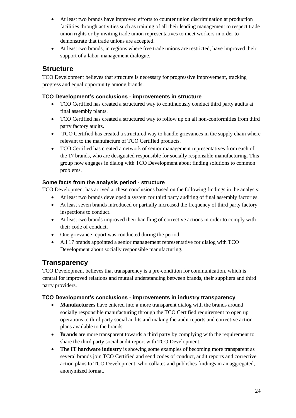- At least two brands have improved efforts to counter union discrimination at production facilities through activities such as training of all their leading management to respect trade union rights or by inviting trade union representatives to meet workers in order to demonstrate that trade unions are accepted.
- At least two brands, in regions where free trade unions are restricted, have improved their support of a labor-management dialogue.

### <span id="page-23-0"></span>**Structure**

TCO Development believes that structure is necessary for progressive improvement, tracking progress and equal opportunity among brands.

### **TCO Development's conclusions - improvements in structure**

- TCO Certified has created a structured way to continuously conduct third party audits at final assembly plants.
- TCO Certified has created a structured way to follow up on all non-conformities from third party factory audits.
- TCO Certified has created a structured way to handle grievances in the supply chain where relevant to the manufacture of TCO Certified products.
- TCO Certified has created a network of senior management representatives from each of the 17 brands, who are designated responsible for socially responsible manufacturing. This group now engages in dialog with TCO Development about finding solutions to common problems.

### **Some facts from the analysis period - structure**

TCO Development has arrived at these conclusions based on the following findings in the analysis:

- At least two brands developed a system for third party auditing of final assembly factories.
- At least seven brands introduced or partially increased the frequency of third party factory inspections to conduct.
- At least two brands improved their handling of corrective actions in order to comply with their code of conduct.
- One grievance report was conducted during the period.
- All 17 brands appointed a senior management representative for dialog with TCO Development about socially responsible manufacturing.

## <span id="page-23-1"></span>**Transparency**

TCO Development believes that transparency is a pre-condition for communication, which is central for improved relations and mutual understanding between brands, their suppliers and third party providers.

#### **TCO Development's conclusions - improvements in industry transparency**

- **Manufacturers** have entered into a more transparent dialog with the brands around socially responsible manufacturing through the TCO Certified requirement to open up operations to third party social audits and making the audit reports and corrective action plans available to the brands.
- **Brands** are more transparent towards a third party by complying with the requirement to share the third party social audit report with TCO Development.
- **The IT hardware industry** is showing some examples of becoming more transparent as several brands join TCO Certified and send codes of conduct, audit reports and corrective action plans to TCO Development, who collates and publishes findings in an aggregated, anonymized format.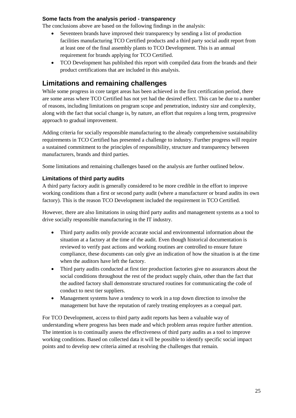#### **Some facts from the analysis period - transparency**

The conclusions above are based on the following findings in the analysis:

- Seventeen brands have improved their transparency by sending a list of production facilities manufacturing TCO Certified products and a third party social audit report from at least one of the final assembly plants to TCO Development. This is an annual requirement for brands applying for TCO Certified.
- TCO Development has published this report with compiled data from the brands and their product certifications that are included in this analysis.

### <span id="page-24-0"></span>**Limitations and remaining challenges**

While some progress in core target areas has been achieved in the first certification period, there are some areas where TCO Certified has not yet had the desired effect. This can be due to a number of reasons, including limitations on program scope and penetration, industry size and complexity, along with the fact that social change is, by nature, an effort that requires a long term, progressive approach to gradual improvement.

Adding criteria for socially responsible manufacturing to the already comprehensive sustainability requirements in TCO Certified has presented a challenge to industry. Further progress will require a sustained commitment to the principles of responsibility, structure and transparency between manufacturers, brands and third parties.

Some limitations and remaining challenges based on the analysis are further outlined below.

#### **Limitations of third party audits**

A third party factory audit is generally considered to be more credible in the effort to improve working conditions than a first or second party audit (where a manufacturer or brand audits its own factory). This is the reason TCO Development included the requirement in TCO Certified.

However, there are also limitations in using third party audits and management systems as a tool to drive socially responsible manufacturing in the IT industry.

- Third party audits only provide accurate social and environmental information about the situation at a factory at the time of the audit. Even though historical documentation is reviewed to verify past actions and working routines are controlled to ensure future compliance, these documents can only give an indication of how the situation is at the time when the auditors have left the factory.
- Third party audits conducted at first tier production factories give no assurances about the social conditions throughout the rest of the product supply chain, other than the fact that the audited factory shall demonstrate structured routines for communicating the code of conduct to next tier suppliers.
- Management systems have a tendency to work in a top down direction to involve the management but have the reputation of rarely treating employees as a coequal part.

For TCO Development, access to third party audit reports has been a valuable way of understanding where progress has been made and which problem areas require further attention. The intention is to continually assess the effectiveness of third party audits as a tool to improve working conditions. Based on collected data it will be possible to identify specific social impact points and to develop new criteria aimed at resolving the challenges that remain.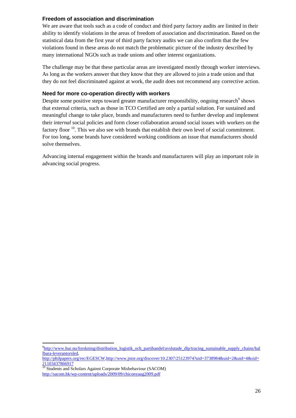#### **Freedom of association and discrimination**

We are aware that tools such as a code of conduct and third party factory audits are limited in their ability to identify violations in the areas of freedom of association and discrimination. Based on the statistical data from the first year of third party factory audits we can also confirm that the few violations found in these areas do not match the problematic picture of the industry described by many international NGOs such as trade unions and other interest organizations.

The challenge may be that these particular areas are investigated mostly through worker interviews. As long as the workers answer that they know that they are allowed to join a trade union and that they do not feel discriminated against at work, the audit does not recommend any corrective action.

#### **Need for more co-operation directly with workers**

Despite some positive steps toward greater manufacturer responsibility, ongoing research  $9$  shows that external criteria, such as those in TCO Certified are only a partial solution. For sustained and meaningful change to take place, brands and manufacturers need to further develop and implement their *internal* social policies and form closer collaboration around social issues with workers on the factory floor  $10$ . This we also see with brands that establish their own level of social commitment. For too long, some brands have considered working conditions an issue that manufacturers should solve themselves.

Advancing internal engagement within the brands and manufacturers will play an important role in advancing social progress.

[http://philpapers.org/rec/EGESCW,](http://philpapers.org/rec/EGESCW)[http://www.jstor.org/discover/10.2307/25123974?uid=3738984&uid=2&uid=4&sid=](http://www.jstor.org/discover/10.2307/25123974?uid=3738984&uid=2&uid=4&sid=21103437866917) [21103437866917](http://www.jstor.org/discover/10.2307/25123974?uid=3738984&uid=2&uid=4&sid=21103437866917)

<sup>10</sup> [Students and Scholars Against Corporate Misbehaviour](http://www.sacom.hk/) (SACOM) <http://sacom.hk/wp-content/uploads/2009/09/chiconyaug2009.pdf>

-

<sup>&</sup>lt;sup>9</sup>[http://www.hur.nu/forskning/distribution\\_logistik\\_och\\_partihandel/avslutade\\_dlp/tracing\\_sustainable\\_supply\\_chains/hal](http://www.hur.nu/forskning/distribution_logistik_och_partihandel/avslutade_dlp/tracing_sustainable_supply_chains/hallbara-leverantorsled) [lbara-leverantorsled,](http://www.hur.nu/forskning/distribution_logistik_och_partihandel/avslutade_dlp/tracing_sustainable_supply_chains/hallbara-leverantorsled)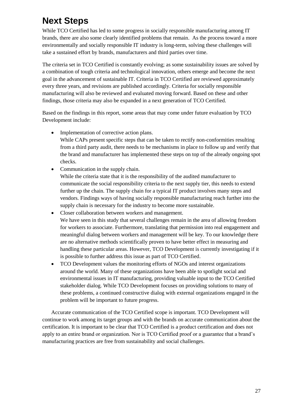# <span id="page-26-0"></span>**Next Steps**

While TCO Certified has led to some progress in socially responsible manufacturing among IT brands, there are also some clearly identified problems that remain. As the process toward a more environmentally and socially responsible IT industry is long-term, solving these challenges will take a sustained effort by brands, manufacturers and third parties over time.

The criteria set in TCO Certified is constantly evolving; as some sustainability issues are solved by a combination of tough criteria and technological innovation, others emerge and become the next goal in the advancement of sustainable IT. Criteria in TCO Certified are reviewed approximately every three years, and revisions are published accordingly. Criteria for socially responsible manufacturing will also be reviewed and evaluated moving forward. Based on these and other findings, those criteria may also be expanded in a next generation of TCO Certified.

Based on the findings in this report, some areas that may come under future evaluation by TCO Development include:

Implementation of corrective action plans.

While CAPs present specific steps that can be taken to rectify non-conformities resulting from a third party audit, there needs to be mechanisms in place to follow up and verify that the brand and manufacturer has implemented these steps on top of the already ongoing spot checks.

• Communication in the supply chain.

While the criteria state that it is the responsibility of the audited manufacturer to communicate the social responsibility criteria to the next supply tier, this needs to extend further up the chain. The supply chain for a typical IT product involves many steps and vendors. Findings ways of having socially responsible manufacturing reach further into the supply chain is necessary for the industry to become more sustainable.

- Closer collaboration between workers and management. We have seen in this study that several challenges remain in the area of allowing freedom for workers to associate. Furthermore, translating that permission into real engagement and meaningful dialog between workers and management will be key. To our knowledge there are no alternative methods scientifically proven to have better effect in measuring and handling these particular areas. However, TCO Development is currently investigating if it is possible to further address this issue as part of TCO Certified.
- TCO Development values the monitoring efforts of NGOs and interest organizations around the world. Many of these organizations have been able to spotlight social and environmental issues in IT manufacturing, providing valuable input to the TCO Certified stakeholder dialog. While TCO Development focuses on providing solutions to many of these problems, a continued constructive dialog with external organizations engaged in the problem will be important to future progress.

Accurate communication of the TCO Certified scope is important. TCO Development will continue to work among its target groups and with the brands on accurate communication about the certification. It is important to be clear that TCO Certified is a product certification and does not apply to an entire brand or organization. Nor is TCO Certified proof or a guarantee that a brand's manufacturing practices are free from sustainability and social challenges.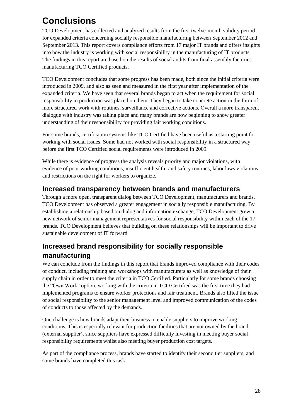# <span id="page-27-0"></span>**Conclusions**

TCO Development has collected and analyzed results from the first twelve-month validity period for expanded criteria concerning socially responsible manufacturing between September 2012 and September 2013. This report covers compliance efforts from 17 major IT brands and offers insights into how the industry is working with social responsibility in the manufacturing of IT products. The findings in this report are based on the results of social audits from final assembly factories manufacturing TCO Certified products.

TCO Development concludes that some progress has been made, both since the initial criteria were introduced in 2009, and also as seen and measured in the first year after implementation of the expanded criteria. We have seen that several brands began to act when the requirement for social responsibility in production was placed on them. They began to take concrete action in the form of more structured work with routines, surveillance and corrective actions. Overall a more transparent dialogue with industry was taking place and many brands are now beginning to show greater understanding of their responsibility for providing fair working conditions.

For some brands, certification systems like TCO Certified have been useful as a starting point for working with social issues. Some had not worked with social responsibility in a structured way before the first TCO Certified social requirements were introduced in 2009.

While there is evidence of progress the analysis reveals priority and major violations, with evidence of poor working conditions, insufficient health- and safety routines, labor laws violations and restrictions on the right for workers to organize.

## <span id="page-27-1"></span>**Increased transparency between brands and manufacturers**

Through a more open, transparent dialog between TCO Development, manufacturers and brands, TCO Development has observed a greater engagement in socially responsible manufacturing. By establishing a relationship based on dialog and information exchange, TCO Development grew a new network of senior management representatives for social responsibility within each of the 17 brands. TCO Development believes that building on these relationships will be important to drive sustainable development of IT forward.

## <span id="page-27-2"></span>**Increased brand responsibility for socially responsible manufacturing**

We can conclude from the findings in this report that brands improved compliance with their codes of conduct, including training and workshops with manufacturers as well as knowledge of their supply chain in order to meet the criteria in TCO Certified. Particularly for some brands choosing the "Own Work" option, working with the criteria in TCO Certified was the first time they had implemented programs to ensure worker protections and fair treatment. Brands also lifted the issue of social responsibility to the senior management level and improved communication of the codes of conducts to those affected by the demands.

One challenge is how brands adapt their business to enable suppliers to improve working conditions. This is especially relevant for production facilities that are not owned by the brand (external supplier), since suppliers have expressed difficulty investing in meeting buyer social responsibility requirements whilst also meeting buyer production cost targets.

<span id="page-27-3"></span>As part of the compliance process, brands have started to identify their second tier suppliers, and some brands have completed this task.